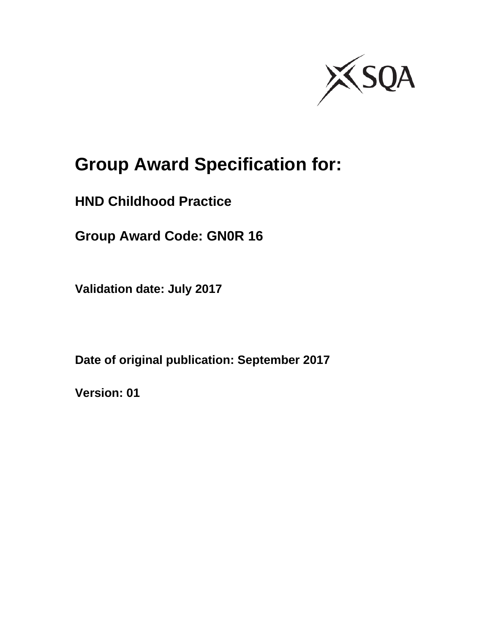

# **Group Award Specification for:**

**HND Childhood Practice** 

**Group Award Code: GN0R 16** 

**Validation date: July 2017** 

**Date of original publication: September 2017** 

**Version: 01**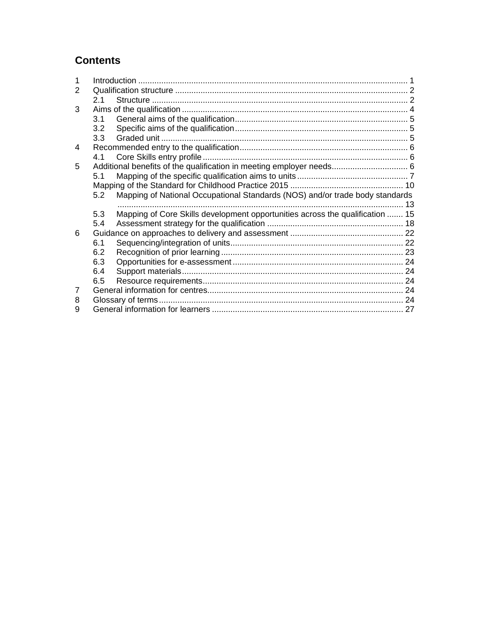### **Contents**

| 2 |     |                                                                               |  |
|---|-----|-------------------------------------------------------------------------------|--|
|   | 21  |                                                                               |  |
| 3 |     |                                                                               |  |
|   | 3.1 |                                                                               |  |
|   | 3.2 |                                                                               |  |
|   | 3.3 |                                                                               |  |
| 4 |     |                                                                               |  |
|   | 4.1 |                                                                               |  |
| 5 |     | Additional benefits of the qualification in meeting employer needs 6          |  |
|   | 5.1 |                                                                               |  |
|   |     |                                                                               |  |
|   | 5.2 | Mapping of National Occupational Standards (NOS) and/or trade body standards  |  |
|   |     |                                                                               |  |
|   | 5.3 | Mapping of Core Skills development opportunities across the qualification  15 |  |
|   | 5.4 |                                                                               |  |
| 6 |     |                                                                               |  |
|   | 6.1 |                                                                               |  |
|   | 6.2 |                                                                               |  |
|   | 6.3 |                                                                               |  |
|   | 6.4 |                                                                               |  |
|   | 6.5 |                                                                               |  |
|   |     |                                                                               |  |
| 8 |     |                                                                               |  |
| 9 |     |                                                                               |  |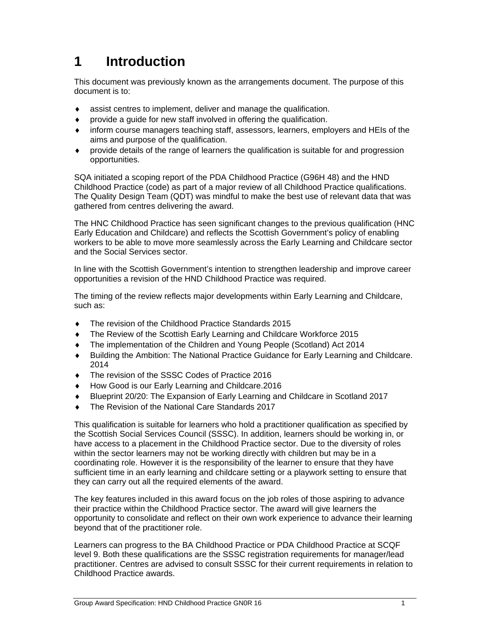## **1 Introduction**

This document was previously known as the arrangements document. The purpose of this document is to:

- assist centres to implement, deliver and manage the qualification.
- provide a guide for new staff involved in offering the qualification.
- inform course managers teaching staff, assessors, learners, employers and HEIs of the aims and purpose of the qualification.
- provide details of the range of learners the qualification is suitable for and progression opportunities.

SQA initiated a scoping report of the PDA Childhood Practice (G96H 48) and the HND Childhood Practice (code) as part of a major review of all Childhood Practice qualifications. The Quality Design Team (QDT) was mindful to make the best use of relevant data that was gathered from centres delivering the award.

The HNC Childhood Practice has seen significant changes to the previous qualification (HNC Early Education and Childcare) and reflects the Scottish Government's policy of enabling workers to be able to move more seamlessly across the Early Learning and Childcare sector and the Social Services sector.

In line with the Scottish Government's intention to strengthen leadership and improve career opportunities a revision of the HND Childhood Practice was required.

The timing of the review reflects major developments within Early Learning and Childcare, such as:

- The revision of the Childhood Practice Standards 2015
- The Review of the Scottish Early Learning and Childcare Workforce 2015
- The implementation of the Children and Young People (Scotland) Act 2014
- Building the Ambition: The National Practice Guidance for Early Learning and Childcare. 2014
- $\bullet$  The revision of the SSSC Codes of Practice 2016
- How Good is our Early Learning and Childcare.2016
- Blueprint 20/20: The Expansion of Early Learning and Childcare in Scotland 2017
- ◆ The Revision of the National Care Standards 2017

This qualification is suitable for learners who hold a practitioner qualification as specified by the Scottish Social Services Council (SSSC). In addition, learners should be working in, or have access to a placement in the Childhood Practice sector. Due to the diversity of roles within the sector learners may not be working directly with children but may be in a coordinating role. However it is the responsibility of the learner to ensure that they have sufficient time in an early learning and childcare setting or a playwork setting to ensure that they can carry out all the required elements of the award.

The key features included in this award focus on the job roles of those aspiring to advance their practice within the Childhood Practice sector. The award will give learners the opportunity to consolidate and reflect on their own work experience to advance their learning beyond that of the practitioner role.

Learners can progress to the BA Childhood Practice or PDA Childhood Practice at SCQF level 9. Both these qualifications are the SSSC registration requirements for manager/lead practitioner. Centres are advised to consult SSSC for their current requirements in relation to Childhood Practice awards.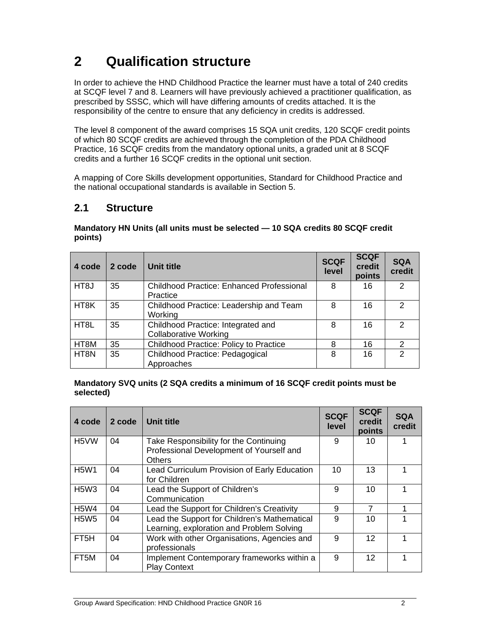## **2 Qualification structure**

In order to achieve the HND Childhood Practice the learner must have a total of 240 credits at SCQF level 7 and 8. Learners will have previously achieved a practitioner qualification, as prescribed by SSSC, which will have differing amounts of credits attached. It is the responsibility of the centre to ensure that any deficiency in credits is addressed.

The level 8 component of the award comprises 15 SQA unit credits, 120 SCQF credit points of which 80 SCQF credits are achieved through the completion of the PDA Childhood Practice, 16 SCQF credits from the mandatory optional units, a graded unit at 8 SCQF credits and a further 16 SCQF credits in the optional unit section.

A mapping of Core Skills development opportunities, Standard for Childhood Practice and the national occupational standards is available in Section 5.

### **2.1 Structure**

|         | Mandatory HN Units (all units must be selected - 10 SQA credits 80 SCQF credit |  |  |
|---------|--------------------------------------------------------------------------------|--|--|
| points) |                                                                                |  |  |

| 4 code            | 2 code | Unit title                                |   | <b>SCQF</b><br>credit<br>points | <b>SQA</b><br>credit |
|-------------------|--------|-------------------------------------------|---|---------------------------------|----------------------|
| HT <sub>8</sub> J | 35     | Childhood Practice: Enhanced Professional | 8 | 16                              | $\mathcal{P}$        |
|                   |        | Practice                                  |   |                                 |                      |
| HT <sub>8</sub> K | 35     | Childhood Practice: Leadership and Team   | 8 | 16                              | $\mathcal{P}$        |
|                   |        | Working                                   |   |                                 |                      |
| HT <sub>8</sub> L | 35     | Childhood Practice: Integrated and        | 8 | 16                              | $\mathcal{P}$        |
|                   |        | <b>Collaborative Working</b>              |   |                                 |                      |
| HT8M              | 35     | Childhood Practice: Policy to Practice    | 8 | 16                              | 2                    |
| HT <sub>8N</sub>  | 35     | Childhood Practice: Pedagogical           | 8 | 16                              | $\mathcal{P}$        |
|                   |        | Approaches                                |   |                                 |                      |

**Mandatory SVQ units (2 SQA credits a minimum of 16 SCQF credit points must be selected)** 

| 4 code            | 2 code | <b>Unit title</b>                                                                            | <b>SCQF</b><br>level | <b>SCQF</b><br>credit<br>points | <b>SQA</b><br>credit |
|-------------------|--------|----------------------------------------------------------------------------------------------|----------------------|---------------------------------|----------------------|
| H <sub>5</sub> VW | 04     | Take Responsibility for the Continuing<br>Professional Development of Yourself and<br>Others | 9                    | 10                              |                      |
| <b>H5W1</b>       | 04     | Lead Curriculum Provision of Early Education<br>for Children                                 | 10                   | 13                              |                      |
| <b>H5W3</b>       | 04     | Lead the Support of Children's<br>Communication                                              | 9                    | 10                              |                      |
| <b>H5W4</b>       | 04     | Lead the Support for Children's Creativity                                                   | 9                    | 7                               |                      |
| <b>H5W5</b>       | 04     | Lead the Support for Children's Mathematical<br>Learning, exploration and Problem Solving    | 9                    | 10                              |                      |
| FT <sub>5</sub> H | 04     | Work with other Organisations, Agencies and<br>professionals                                 | 9                    | $12 \overline{ }$               |                      |
| FT5M              | 04     | Implement Contemporary frameworks within a<br><b>Play Context</b>                            | 9                    | $12 \overline{ }$               |                      |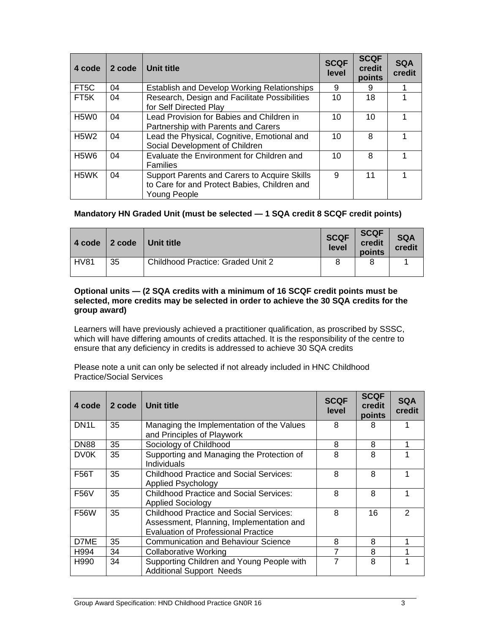| 4 code                        | 2 code | Unit title                                                                                                   |                 | <b>SCQF</b><br>credit<br>points | <b>SQA</b><br>credit |
|-------------------------------|--------|--------------------------------------------------------------------------------------------------------------|-----------------|---------------------------------|----------------------|
| FT <sub>5</sub> C             | 04     | <b>Establish and Develop Working Relationships</b>                                                           | 9               | 9                               |                      |
| FT <sub>5</sub> K             | 04     | Research, Design and Facilitate Possibilities<br>for Self Directed Play                                      | 10 <sup>1</sup> | 18                              |                      |
| H <sub>5</sub> W <sub>0</sub> | 04     | Lead Provision for Babies and Children in<br>Partnership with Parents and Carers                             | 10              | 10 <sup>1</sup>                 |                      |
| <b>H5W2</b>                   | 04     | Lead the Physical, Cognitive, Emotional and<br>Social Development of Children                                | 10              | 8                               |                      |
| H <sub>5</sub> W <sub>6</sub> | 04     | Evaluate the Environment for Children and<br><b>Families</b>                                                 | 10              | 8                               |                      |
| H <sub>5</sub> WK             | 04     | Support Parents and Carers to Acquire Skills<br>to Care for and Protect Babies, Children and<br>Young People | 9               | 11                              |                      |

#### **Mandatory HN Graded Unit (must be selected — 1 SQA credit 8 SCQF credit points)**

| l 4 code    | $\vert$ 2 code | <b>∣Unit title</b>                       | <b>SCQF</b><br>level | <b>SCQF</b><br>credit<br>points | <b>SQA</b><br>credit |
|-------------|----------------|------------------------------------------|----------------------|---------------------------------|----------------------|
| <b>HV81</b> | 35             | <b>Childhood Practice: Graded Unit 2</b> |                      |                                 |                      |

#### **Optional units — (2 SQA credits with a minimum of 16 SCQF credit points must be selected, more credits may be selected in order to achieve the 30 SQA credits for the group award)**

Learners will have previously achieved a practitioner qualification, as proscribed by SSSC, which will have differing amounts of credits attached. It is the responsibility of the centre to ensure that any deficiency in credits is addressed to achieve 30 SQA credits

Please note a unit can only be selected if not already included in HNC Childhood Practice/Social Services

| 4 code            | 2 code | Unit title                                                                                                                               | <b>SCQF</b><br>level | <b>SCQF</b><br>credit<br>points | <b>SQA</b><br>credit |
|-------------------|--------|------------------------------------------------------------------------------------------------------------------------------------------|----------------------|---------------------------------|----------------------|
| DN <sub>1</sub> L | 35     | Managing the Implementation of the Values<br>and Principles of Playwork                                                                  | 8                    | 8                               |                      |
| DN <sub>88</sub>  | 35     | Sociology of Childhood                                                                                                                   | 8                    | 8                               |                      |
| <b>DV0K</b>       | 35     | Supporting and Managing the Protection of<br><b>Individuals</b>                                                                          | 8                    | 8                               |                      |
| F56T              | 35     | Childhood Practice and Social Services:<br>Applied Psychology                                                                            | 8                    | 8                               |                      |
| <b>F56V</b>       | 35     | <b>Childhood Practice and Social Services:</b><br><b>Applied Sociology</b>                                                               | 8                    | 8                               |                      |
| <b>F56W</b>       | 35     | <b>Childhood Practice and Social Services:</b><br>Assessment, Planning, Implementation and<br><b>Evaluation of Professional Practice</b> | 8                    | 16                              | $\mathfrak{p}$       |
| D7ME              | 35     | Communication and Behaviour Science                                                                                                      | 8                    | 8                               |                      |
| H994              | 34     | <b>Collaborative Working</b>                                                                                                             | 7                    | 8                               |                      |
| H990              | 34     | Supporting Children and Young People with<br><b>Additional Support Needs</b>                                                             | 7                    | 8                               |                      |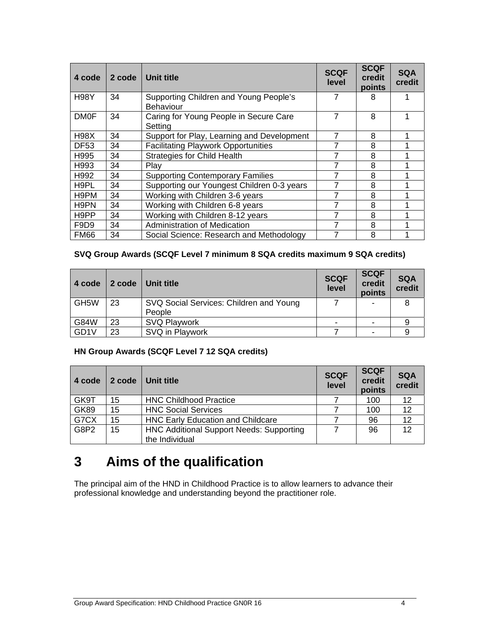| 4 code            | 2 code | Unit title                                                 | <b>SCQF</b><br>level | <b>SCQF</b><br>credit<br>points | <b>SQA</b><br>credit |
|-------------------|--------|------------------------------------------------------------|----------------------|---------------------------------|----------------------|
| <b>H98Y</b>       | 34     | Supporting Children and Young People's<br><b>Behaviour</b> | 7                    | 8                               |                      |
| <b>DM0F</b>       | 34     | Caring for Young People in Secure Care<br>Settina          | 7                    | 8                               |                      |
| H <sub>98</sub> X | 34     | Support for Play, Learning and Development                 | 7                    | 8                               |                      |
| <b>DF53</b>       | 34     | <b>Facilitating Playwork Opportunities</b>                 | 7                    | 8                               |                      |
| H995              | 34     | <b>Strategies for Child Health</b>                         | 7                    | 8                               |                      |
| H993              | 34     | Play                                                       |                      | 8                               |                      |
| H992              | 34     | <b>Supporting Contemporary Families</b>                    |                      | 8                               |                      |
| H <sub>9</sub> PL | 34     | Supporting our Youngest Children 0-3 years                 | 7                    | 8                               |                      |
| H9PM              | 34     | Working with Children 3-6 years                            | 7                    | 8                               |                      |
| H9PN              | 34     | Working with Children 6-8 years                            | 7                    | 8                               |                      |
| H <sub>9</sub> PP | 34     | Working with Children 8-12 years                           | 7                    | 8                               |                      |
| F9D <sub>9</sub>  | 34     | <b>Administration of Medication</b>                        | 7                    | 8                               |                      |
| <b>FM66</b>       | 34     | Social Science: Research and Methodology                   | 7                    | 8                               |                      |

#### **SVQ Group Awards (SCQF Level 7 minimum 8 SQA credits maximum 9 SQA credits)**

| 4 code            | 2 code | Unit title                              | <b>SCQF</b><br>level | <b>SCQF</b><br>credit<br>points | <b>SQA</b><br>credit |
|-------------------|--------|-----------------------------------------|----------------------|---------------------------------|----------------------|
| GH <sub>5</sub> W | 23     | SVQ Social Services: Children and Young |                      |                                 |                      |
|                   |        | People                                  |                      |                                 |                      |
| G84W              | 23     | SVQ Playwork                            |                      |                                 |                      |
| GD <sub>1</sub> V | 23     | SVQ in Playwork                         |                      |                                 |                      |

#### **HN Group Awards (SCQF Level 7 12 SQA credits)**

| 4 code      | 2 code | Unit title                                      | <b>SCQF</b><br>level | <b>SCQF</b><br>credit<br>points | <b>SQA</b><br>credit |
|-------------|--------|-------------------------------------------------|----------------------|---------------------------------|----------------------|
| GK9T        | 15     | <b>HNC Childhood Practice</b>                   |                      | 100                             | 12                   |
| <b>GK89</b> | 15     | <b>HNC Social Services</b>                      |                      | 100                             | 12                   |
| G7CX        | 15     | <b>HNC Early Education and Childcare</b>        |                      | 96                              | 12                   |
| G8P2        | 15     | <b>HNC Additional Support Needs: Supporting</b> |                      | 96                              | $12 \overline{ }$    |
|             |        | the Individual                                  |                      |                                 |                      |

## **3 Aims of the qualification**

The principal aim of the HND in Childhood Practice is to allow learners to advance their professional knowledge and understanding beyond the practitioner role.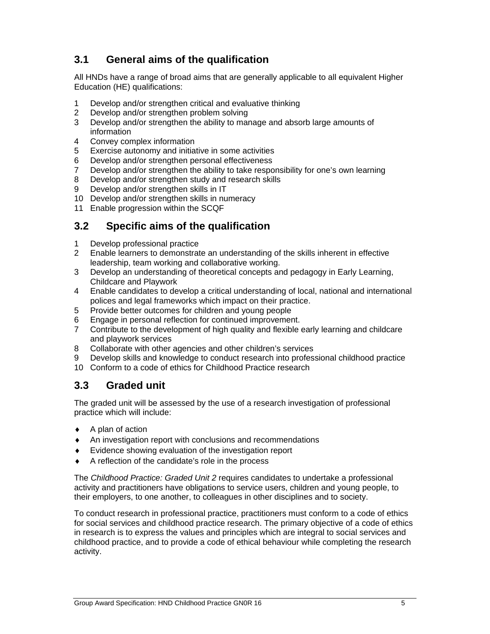### **3.1 General aims of the qualification**

All HNDs have a range of broad aims that are generally applicable to all equivalent Higher Education (HE) qualifications:

- 1 Develop and/or strengthen critical and evaluative thinking
- 2 Develop and/or strengthen problem solving
- 3 Develop and/or strengthen the ability to manage and absorb large amounts of information
- 4 Convey complex information
- 5 Exercise autonomy and initiative in some activities
- 6 Develop and/or strengthen personal effectiveness
- 7 Develop and/or strengthen the ability to take responsibility for one's own learning
- 8 Develop and/or strengthen study and research skills
- 9 Develop and/or strengthen skills in IT
- 10 Develop and/or strengthen skills in numeracy
- 11 Enable progression within the SCQF

### **3.2 Specific aims of the qualification**

- 1 Develop professional practice
- 2 Enable learners to demonstrate an understanding of the skills inherent in effective leadership, team working and collaborative working.
- 3 Develop an understanding of theoretical concepts and pedagogy in Early Learning, Childcare and Playwork
- 4 Enable candidates to develop a critical understanding of local, national and international polices and legal frameworks which impact on their practice.
- 5 Provide better outcomes for children and young people
- 6 Engage in personal reflection for continued improvement.<br>7 Contribute to the development of high quality and flexible
- 7 Contribute to the development of high quality and flexible early learning and childcare and playwork services
- 8 Collaborate with other agencies and other children's services
- 9 Develop skills and knowledge to conduct research into professional childhood practice
- 10 Conform to a code of ethics for Childhood Practice research

#### **3.3 Graded unit**

The graded unit will be assessed by the use of a research investigation of professional practice which will include:

- $\triangle$  A plan of action
- An investigation report with conclusions and recommendations
- Evidence showing evaluation of the investigation report
- A reflection of the candidate's role in the process

The *Childhood Practice: Graded Unit 2* requires candidates to undertake a professional activity and practitioners have obligations to service users, children and young people, to their employers, to one another, to colleagues in other disciplines and to society.

To conduct research in professional practice, practitioners must conform to a code of ethics for social services and childhood practice research. The primary objective of a code of ethics in research is to express the values and principles which are integral to social services and childhood practice, and to provide a code of ethical behaviour while completing the research activity.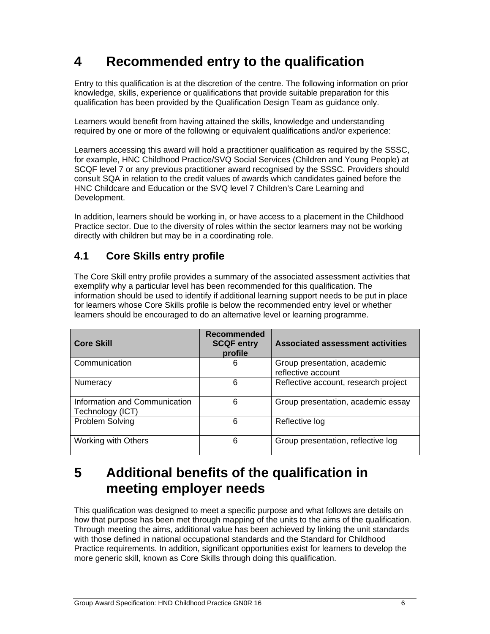## **4 Recommended entry to the qualification**

Entry to this qualification is at the discretion of the centre. The following information on prior knowledge, skills, experience or qualifications that provide suitable preparation for this qualification has been provided by the Qualification Design Team as guidance only.

Learners would benefit from having attained the skills, knowledge and understanding required by one or more of the following or equivalent qualifications and/or experience:

Learners accessing this award will hold a practitioner qualification as required by the SSSC, for example, HNC Childhood Practice/SVQ Social Services (Children and Young People) at SCQF level 7 or any previous practitioner award recognised by the SSSC. Providers should consult SQA in relation to the credit values of awards which candidates gained before the HNC Childcare and Education or the SVQ level 7 Children's Care Learning and Development.

In addition, learners should be working in, or have access to a placement in the Childhood Practice sector. Due to the diversity of roles within the sector learners may not be working directly with children but may be in a coordinating role.

### **4.1 Core Skills entry profile**

The Core Skill entry profile provides a summary of the associated assessment activities that exemplify why a particular level has been recommended for this qualification. The information should be used to identify if additional learning support needs to be put in place for learners whose Core Skills profile is below the recommended entry level or whether learners should be encouraged to do an alternative level or learning programme.

| <b>Core Skill</b>                                 | Recommended<br><b>SCQF entry</b><br>profile | <b>Associated assessment activities</b>            |
|---------------------------------------------------|---------------------------------------------|----------------------------------------------------|
| Communication                                     | 6                                           | Group presentation, academic<br>reflective account |
| Numeracy                                          | 6                                           | Reflective account, research project               |
| Information and Communication<br>Technology (ICT) | 6                                           | Group presentation, academic essay                 |
| <b>Problem Solving</b>                            | 6                                           | Reflective log                                     |
| Working with Others                               | 6                                           | Group presentation, reflective log                 |

## **5 Additional benefits of the qualification in meeting employer needs**

This qualification was designed to meet a specific purpose and what follows are details on how that purpose has been met through mapping of the units to the aims of the qualification. Through meeting the aims, additional value has been achieved by linking the unit standards with those defined in national occupational standards and the Standard for Childhood Practice requirements. In addition, significant opportunities exist for learners to develop the more generic skill, known as Core Skills through doing this qualification.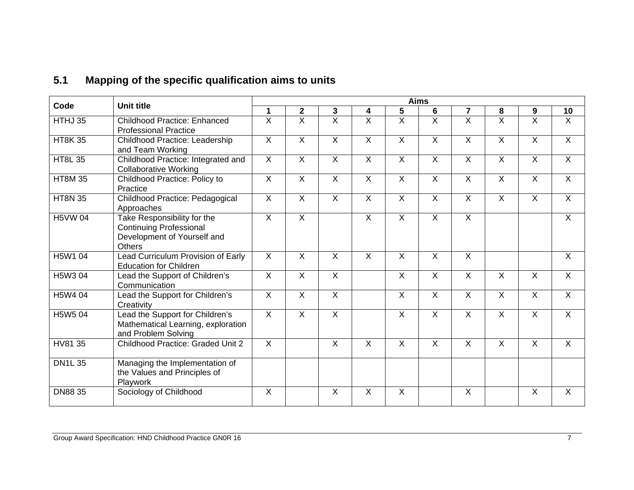### **5.1 Mapping of the specific qualification aims to units**

| Code           | <b>Unit title</b>                                                                                      | <b>Aims</b>               |                         |                         |                         |                |                         |                           |                |                           |                           |
|----------------|--------------------------------------------------------------------------------------------------------|---------------------------|-------------------------|-------------------------|-------------------------|----------------|-------------------------|---------------------------|----------------|---------------------------|---------------------------|
|                |                                                                                                        | 1                         | $\mathbf 2$             | 3                       | 4                       | 5              | 6                       | $\overline{7}$            | 8              | 9                         | 10                        |
| HTHJ 35        | <b>Childhood Practice: Enhanced</b><br><b>Professional Practice</b>                                    | $\overline{X}$            | $\overline{\mathsf{x}}$ | $\overline{X}$          | $\overline{X}$          | $\overline{X}$ | $\overline{\mathsf{x}}$ | $\overline{\mathsf{x}}$   | $\overline{X}$ | X                         | $\overline{X}$            |
| <b>HT8K35</b>  | <b>Childhood Practice: Leadership</b><br>and Team Working                                              | $\overline{X}$            | $\overline{X}$          | $\overline{\mathsf{x}}$ | $\overline{X}$          | $\overline{X}$ | $\overline{X}$          | $\overline{X}$            | $\overline{X}$ | $\overline{X}$            | $\overline{X}$            |
| <b>HT8L 35</b> | Childhood Practice: Integrated and<br><b>Collaborative Working</b>                                     | $\mathsf{X}$              | $\sf X$                 | $\mathsf{X}$            | $\sf X$                 | $\mathsf{X}$   | $\sf X$                 | $\sf X$                   | $\mathsf{X}$   | $\sf X$                   | $\sf X$                   |
| <b>HT8M 35</b> | Childhood Practice: Policy to<br>Practice                                                              | $\boldsymbol{\mathsf{X}}$ | $\mathsf{X}$            | $\pmb{\times}$          | $\sf X$                 | X              | $\sf X$                 | $\boldsymbol{\mathsf{X}}$ | $\mathsf{X}$   | $\boldsymbol{\mathsf{X}}$ | $\boldsymbol{\mathsf{X}}$ |
| <b>HT8N 35</b> | Childhood Practice: Pedagogical<br>Approaches                                                          | $\overline{X}$            | $\overline{X}$          | $\overline{X}$          | $\overline{X}$          | $\overline{X}$ | $\overline{X}$          | $\overline{X}$            | $\overline{X}$ | $\overline{X}$            | $\overline{X}$            |
| <b>H5VW04</b>  | Take Responsibility for the<br><b>Continuing Professional</b><br>Development of Yourself and<br>Others | $\overline{X}$            | $\overline{X}$          |                         | $\overline{X}$          | $\overline{X}$ | $\overline{X}$          | $\overline{X}$            |                |                           | $\overline{X}$            |
| H5W1 04        | Lead Curriculum Provision of Early<br><b>Education for Children</b>                                    | $\overline{X}$            | $\overline{X}$          | $\overline{\mathsf{x}}$ | $\overline{X}$          | $\overline{X}$ | $\overline{X}$          | $\overline{X}$            |                |                           | $\overline{X}$            |
| H5W3 04        | Lead the Support of Children's<br>Communication                                                        | $\mathsf{X}$              | $\mathsf{X}$            | X                       |                         | $\mathsf{X}$   | $\mathsf{X}$            | $\mathsf{X}$              | $\sf X$        | $\mathsf{X}$              | $\mathsf{X}$              |
| H5W4 04        | Lead the Support for Children's<br>Creativity                                                          | $\sf X$                   | $\sf X$                 | $\overline{X}$          |                         | $\mathsf{X}$   | $\sf X$                 | $\sf X$                   | $\sf X$        | $\overline{X}$            | $\sf X$                   |
| H5W5 04        | Lead the Support for Children's<br>Mathematical Learning, exploration<br>and Problem Solving           | $\overline{X}$            | $\overline{X}$          | $\overline{X}$          |                         | $\overline{X}$ | $\overline{X}$          | $\overline{X}$            | $\overline{X}$ | $\overline{X}$            | $\overline{X}$            |
| HV81 35        | <b>Childhood Practice: Graded Unit 2</b>                                                               | $\overline{X}$            |                         | $\overline{X}$          | $\overline{\mathsf{x}}$ | $\overline{X}$ | $\overline{\mathsf{x}}$ | $\overline{X}$            | $\overline{X}$ | $\overline{X}$            | $\overline{X}$            |
| <b>DN1L35</b>  | Managing the Implementation of<br>the Values and Principles of<br>Playwork                             |                           |                         |                         |                         |                |                         |                           |                |                           |                           |
| <b>DN8835</b>  | Sociology of Childhood                                                                                 | $\sf X$                   |                         | X                       | $\sf X$                 | $\mathsf{X}$   |                         | X                         |                | $\sf X$                   | $\sf X$                   |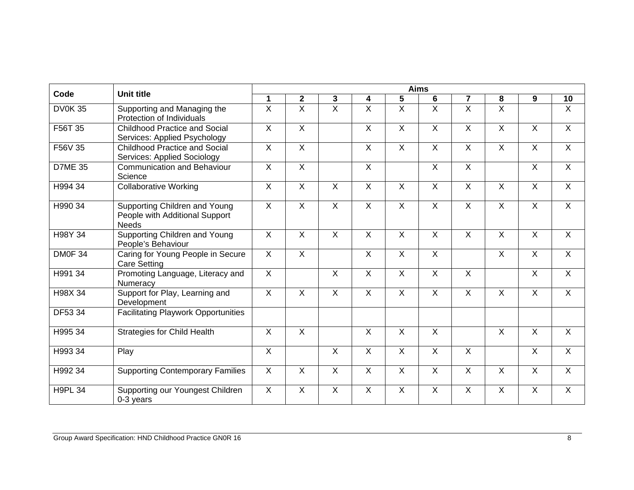|                | <b>Unit title</b>                                                               | <b>Aims</b>               |                         |                |                           |                |                 |                |                         |                |                |  |  |
|----------------|---------------------------------------------------------------------------------|---------------------------|-------------------------|----------------|---------------------------|----------------|-----------------|----------------|-------------------------|----------------|----------------|--|--|
| Code           |                                                                                 | 1                         | $\mathbf 2$             | 3              | 4                         | 5              | $6\phantom{1}6$ | $\overline{7}$ | 8                       | 9              | 10             |  |  |
| <b>DV0K35</b>  | Supporting and Managing the<br>Protection of Individuals                        | $\overline{X}$            | $\overline{\mathsf{x}}$ | $\overline{X}$ | $\overline{X}$            | $\overline{X}$ | $\overline{X}$  | $\overline{X}$ | $\overline{X}$          |                | $\overline{X}$ |  |  |
| F56T 35        | <b>Childhood Practice and Social</b><br>Services: Applied Psychology            | $\sf X$                   | $\overline{X}$          |                | $\overline{X}$            | $\mathsf{X}$   | $\sf X$         | $\overline{X}$ | $\mathsf{X}$            | $\sf X$        | $\mathsf{X}$   |  |  |
| F56V 35        | <b>Childhood Practice and Social</b><br><b>Services: Applied Sociology</b>      | $\overline{X}$            | $\overline{X}$          |                | $\overline{\mathsf{x}}$   | $\overline{X}$ | $\overline{X}$  | $\overline{X}$ | $\overline{X}$          | $\overline{X}$ | $\overline{X}$ |  |  |
| <b>D7ME 35</b> | <b>Communication and Behaviour</b><br>Science                                   | $\sf X$                   | $\overline{X}$          |                | $\overline{X}$            |                | $\sf X$         | $\overline{X}$ |                         | $\overline{X}$ | $\overline{X}$ |  |  |
| H994 34        | <b>Collaborative Working</b>                                                    | $\boldsymbol{\mathsf{X}}$ | $\mathsf{X}$            | X              | $\overline{X}$            | $\mathsf{X}$   | $\mathsf{X}$    | $\overline{X}$ | $\mathsf{X}$            | $\overline{X}$ | $\overline{X}$ |  |  |
| H990 34        | Supporting Children and Young<br>People with Additional Support<br><b>Needs</b> | $\overline{X}$            | $\overline{X}$          | $\overline{X}$ | $\overline{X}$            | $\overline{X}$ | $\overline{X}$  | $\overline{X}$ | $\overline{X}$          | $\overline{X}$ | $\overline{X}$ |  |  |
| H98Y 34        | Supporting Children and Young<br>People's Behaviour                             | $\overline{X}$            | $\overline{X}$          | $\overline{X}$ | $\overline{\mathsf{x}}$   | $\overline{X}$ | $\overline{X}$  | $\overline{X}$ | $\overline{X}$          | $\overline{X}$ | $\overline{X}$ |  |  |
| DM0F 34        | Caring for Young People in Secure<br><b>Care Setting</b>                        | $\overline{X}$            | $\sf X$                 |                | $\boldsymbol{\mathsf{X}}$ | $\mathsf{X}$   | $\mathsf{X}$    |                | $\mathsf{X}$            | $\overline{X}$ | $\overline{X}$ |  |  |
| H991 34        | Promoting Language, Literacy and<br>Numeracy                                    | $\overline{X}$            |                         | $\overline{X}$ | $\overline{\mathsf{x}}$   | $\overline{X}$ | $\overline{X}$  | X              |                         | $\overline{X}$ | $\overline{X}$ |  |  |
| H98X 34        | Support for Play, Learning and<br>Development                                   | $\overline{X}$            | $\overline{X}$          | $\overline{X}$ | $\overline{X}$            | $\overline{X}$ | $\overline{X}$  | $\overline{X}$ | $\overline{X}$          | $\overline{X}$ | $\overline{X}$ |  |  |
| DF53 34        | <b>Facilitating Playwork Opportunities</b>                                      |                           |                         |                |                           |                |                 |                |                         |                |                |  |  |
| H995 34        | <b>Strategies for Child Health</b>                                              | $\overline{X}$            | $\overline{X}$          |                | $\overline{\mathsf{x}}$   | X              | $\overline{X}$  |                | $\overline{X}$          | $\overline{X}$ | $\overline{X}$ |  |  |
| H993 34        | Play                                                                            | $\overline{X}$            |                         | $\overline{X}$ | $\overline{\mathsf{x}}$   | $\overline{X}$ | $\overline{X}$  | $\overline{X}$ |                         | $\overline{X}$ | $\overline{X}$ |  |  |
| H992 34        | <b>Supporting Contemporary Families</b>                                         | $\overline{X}$            | $\overline{X}$          | $\overline{X}$ | $\overline{\mathsf{x}}$   | $\overline{X}$ | $\overline{X}$  | $\overline{X}$ | $\overline{\mathsf{x}}$ | $\overline{X}$ | $\overline{X}$ |  |  |
| <b>H9PL 34</b> | Supporting our Youngest Children<br>0-3 years                                   | $\boldsymbol{\mathsf{X}}$ | $\mathsf{X}$            | X              | $\boldsymbol{\mathsf{X}}$ | X              | $\mathsf{X}$    | $\sf X$        | X                       | $\sf X$        | $\overline{X}$ |  |  |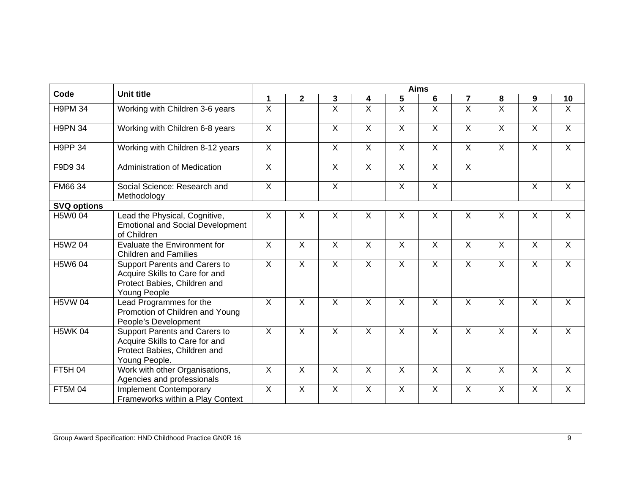|                    |                                                                                                                  | <b>Aims</b>               |                           |                         |                           |                           |                           |                           |                         |                           |                |  |  |
|--------------------|------------------------------------------------------------------------------------------------------------------|---------------------------|---------------------------|-------------------------|---------------------------|---------------------------|---------------------------|---------------------------|-------------------------|---------------------------|----------------|--|--|
| Code               | <b>Unit title</b>                                                                                                | 1                         | $\overline{2}$            | 3                       | 4                         | 5                         | $6\phantom{1}$            | 7                         | 8                       | 9                         | 10             |  |  |
| <b>H9PM 34</b>     | Working with Children 3-6 years                                                                                  | $\overline{\mathsf{x}}$   |                           | $\overline{\mathsf{x}}$ | $\overline{X}$            | $\overline{\mathsf{x}}$   | $\overline{X}$            | $\overline{\mathsf{x}}$   | $\overline{\mathsf{x}}$ | $\overline{\mathsf{x}}$   | $\overline{X}$ |  |  |
| <b>H9PN 34</b>     | Working with Children 6-8 years                                                                                  | $\overline{X}$            |                           | $\overline{X}$          | $\overline{X}$            | $\overline{X}$            | $\overline{X}$            | $\overline{X}$            | $\mathsf{X}$            | $\overline{X}$            | $\overline{X}$ |  |  |
| <b>H9PP 34</b>     | Working with Children 8-12 years                                                                                 | $\overline{X}$            |                           | $\overline{X}$          | $\overline{X}$            | $\overline{X}$            | $\overline{X}$            | $\overline{X}$            | $\overline{X}$          | $\overline{X}$            | $\overline{X}$ |  |  |
| F9D9 34            | <b>Administration of Medication</b>                                                                              | $\overline{X}$            |                           | $\overline{X}$          | $\overline{X}$            | $\mathsf{X}$              | $\overline{X}$            | $\overline{X}$            |                         |                           |                |  |  |
| FM66 34            | Social Science: Research and<br>Methodology                                                                      | $\overline{\mathsf{x}}$   |                           | $\overline{X}$          |                           | $\overline{X}$            | $\overline{X}$            |                           |                         | $\overline{X}$            | $\overline{X}$ |  |  |
| <b>SVQ options</b> |                                                                                                                  |                           |                           |                         |                           |                           |                           |                           |                         |                           |                |  |  |
| H5W0 04            | Lead the Physical, Cognitive,<br><b>Emotional and Social Development</b><br>of Children                          | $\boldsymbol{\mathsf{X}}$ | $\boldsymbol{\mathsf{X}}$ | X                       | $\boldsymbol{\mathsf{X}}$ | $\boldsymbol{\mathsf{X}}$ | $\boldsymbol{\mathsf{X}}$ | $\boldsymbol{\mathsf{X}}$ | X                       | $\times$                  | $\overline{X}$ |  |  |
| H5W2 04            | Evaluate the Environment for<br><b>Children and Families</b>                                                     | $\overline{X}$            | $\overline{X}$            | $\overline{X}$          | $\overline{X}$            | $\overline{\mathsf{x}}$   | $\overline{X}$            | $\overline{X}$            | $\overline{X}$          | $\overline{\mathsf{x}}$   | $\overline{X}$ |  |  |
| H5W6 04            | Support Parents and Carers to<br>Acquire Skills to Care for and<br>Protect Babies, Children and<br>Young People  | $\overline{X}$            | $\overline{X}$            | X                       | $\overline{X}$            | $\mathsf{X}$              | $\overline{X}$            | $\mathsf{X}$              | X                       | $\overline{\mathsf{x}}$   | $\overline{X}$ |  |  |
| <b>H5VW04</b>      | Lead Programmes for the<br>Promotion of Children and Young<br>People's Development                               | $\sf X$                   | $\sf X$                   | X                       | $\boldsymbol{\mathsf{X}}$ | $\sf X$                   | $\sf X$                   | $\boldsymbol{\mathsf{X}}$ | $\mathsf{X}$            | $\boldsymbol{\mathsf{X}}$ | $\mathsf{X}$   |  |  |
| <b>H5WK 04</b>     | Support Parents and Carers to<br>Acquire Skills to Care for and<br>Protect Babies, Children and<br>Young People. | $\overline{X}$            | $\overline{X}$            | $\overline{X}$          | $\overline{\mathsf{x}}$   | $\overline{\mathsf{x}}$   | $\overline{X}$            | $\overline{X}$            | $\overline{X}$          | $\overline{\mathsf{x}}$   | $\overline{X}$ |  |  |
| FT5H 04            | Work with other Organisations,<br>Agencies and professionals                                                     | $\boldsymbol{\mathsf{X}}$ | $\overline{X}$            | X                       | $\overline{X}$            | $\boldsymbol{\mathsf{X}}$ | $\sf X$                   | $\mathsf{X}$              | X                       | $\overline{\mathsf{x}}$   | $\sf X$        |  |  |
| FT5M 04            | <b>Implement Contemporary</b><br>Frameworks within a Play Context                                                | X                         | X                         | X                       | X                         | X                         | $\times$                  | X                         | X                       | $\boldsymbol{\mathsf{X}}$ | X              |  |  |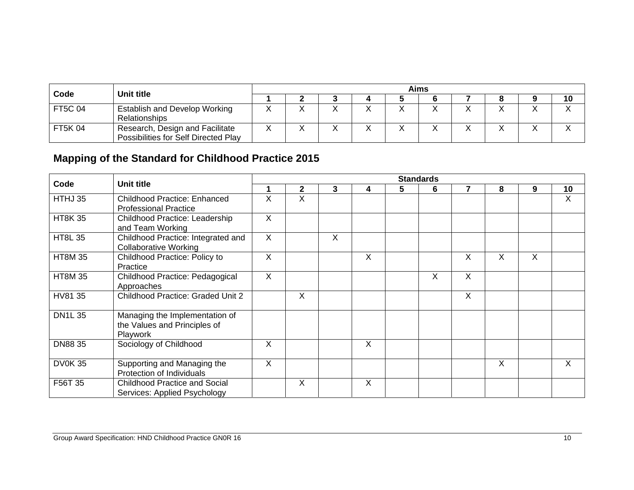|                | Unit title                                                              | Aims |  |  |                   |  |  |  |  |  |    |  |  |
|----------------|-------------------------------------------------------------------------|------|--|--|-------------------|--|--|--|--|--|----|--|--|
| Code           |                                                                         |      |  |  |                   |  |  |  |  |  | 10 |  |  |
| <b>FT5C 04</b> | <b>Establish and Develop Working</b><br>Relationships                   |      |  |  | $\checkmark$<br>↗ |  |  |  |  |  |    |  |  |
| FT5K 04        | Research, Design and Facilitate<br>Possibilities for Self Directed Play |      |  |  | $\lambda$<br>↗    |  |  |  |  |  |    |  |  |

### **Mapping of the Standard for Childhood Practice 2015**

|                |                                                                            |                           |   |              |          |   | <b>Standards</b> |              |   |   |         |
|----------------|----------------------------------------------------------------------------|---------------------------|---|--------------|----------|---|------------------|--------------|---|---|---------|
| Code           | <b>Unit title</b>                                                          | 1                         | 2 | 3            | 4        | 5 | 6                | 7            | 8 | 9 | 10      |
| HTHJ 35        | Childhood Practice: Enhanced<br><b>Professional Practice</b>               | X                         | X |              |          |   |                  |              |   |   | X       |
| <b>HT8K35</b>  | Childhood Practice: Leadership<br>and Team Working                         | $\boldsymbol{\mathsf{X}}$ |   |              |          |   |                  |              |   |   |         |
| <b>HT8L 35</b> | Childhood Practice: Integrated and<br><b>Collaborative Working</b>         | $\times$                  |   | $\mathsf{X}$ |          |   |                  |              |   |   |         |
| <b>HT8M 35</b> | Childhood Practice: Policy to<br>Practice                                  | X                         |   |              | $\times$ |   |                  | X            | X | X |         |
| <b>HT8M35</b>  | Childhood Practice: Pedagogical<br>Approaches                              | $\times$                  |   |              |          |   | X                | $\mathsf{X}$ |   |   |         |
| HV81 35        | <b>Childhood Practice: Graded Unit 2</b>                                   |                           | X |              |          |   |                  | X            |   |   |         |
| <b>DN1L35</b>  | Managing the Implementation of<br>the Values and Principles of<br>Playwork |                           |   |              |          |   |                  |              |   |   |         |
| <b>DN8835</b>  | Sociology of Childhood                                                     | X                         |   |              | $\times$ |   |                  |              |   |   |         |
| <b>DV0K35</b>  | Supporting and Managing the<br>Protection of Individuals                   | $\overline{\mathsf{x}}$   |   |              |          |   |                  |              | X |   | $\sf X$ |
| F56T 35        | <b>Childhood Practice and Social</b><br>Services: Applied Psychology       |                           | X |              | $\times$ |   |                  |              |   |   |         |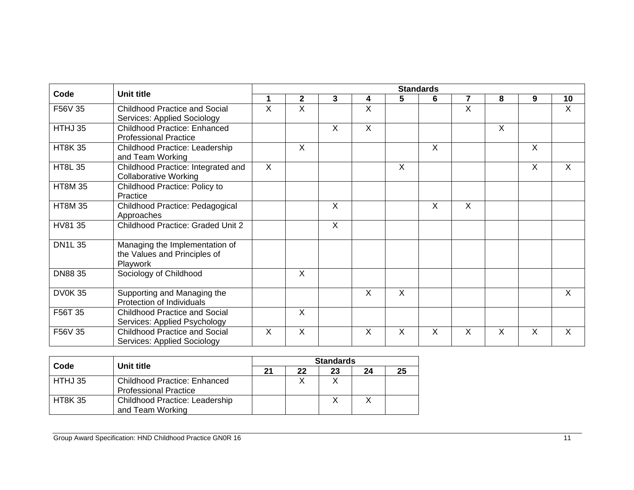| Code           | <b>Unit title</b>                                                          | <b>Standards</b>        |                         |                |                |         |                |                         |              |                         |                |  |  |
|----------------|----------------------------------------------------------------------------|-------------------------|-------------------------|----------------|----------------|---------|----------------|-------------------------|--------------|-------------------------|----------------|--|--|
|                |                                                                            | $\mathbf 1$             | $\mathbf{2}$            | 3              | 4              | 5       | 6              | $\overline{\mathbf{7}}$ | 8            | 9                       | 10             |  |  |
| F56V 35        | Childhood Practice and Social<br><b>Services: Applied Sociology</b>        | $\overline{\mathsf{x}}$ | $\overline{\mathsf{x}}$ |                | $\overline{X}$ |         |                | $\overline{\mathsf{x}}$ |              |                         | $\overline{X}$ |  |  |
| HTHJ 35        | <b>Childhood Practice: Enhanced</b><br><b>Professional Practice</b>        |                         |                         | $\sf X$        | $\overline{X}$ |         |                |                         | $\mathsf{X}$ |                         |                |  |  |
| <b>HT8K35</b>  | Childhood Practice: Leadership<br>and Team Working                         |                         | $\sf X$                 |                |                |         | $\overline{X}$ |                         |              | X                       |                |  |  |
| <b>HT8L 35</b> | Childhood Practice: Integrated and<br><b>Collaborative Working</b>         | $\overline{X}$          |                         |                |                | $\sf X$ |                |                         |              | $\overline{\mathsf{x}}$ | X              |  |  |
| <b>HT8M 35</b> | Childhood Practice: Policy to<br>Practice                                  |                         |                         |                |                |         |                |                         |              |                         |                |  |  |
| <b>HT8M 35</b> | Childhood Practice: Pedagogical<br>Approaches                              |                         |                         | $\sf X$        |                |         | $\sf X$        | $\sf X$                 |              |                         |                |  |  |
| HV81 35        | Childhood Practice: Graded Unit 2                                          |                         |                         | $\overline{X}$ |                |         |                |                         |              |                         |                |  |  |
| <b>DN1L35</b>  | Managing the Implementation of<br>the Values and Principles of<br>Playwork |                         |                         |                |                |         |                |                         |              |                         |                |  |  |
| DN88 35        | Sociology of Childhood                                                     |                         | $\sf X$                 |                |                |         |                |                         |              |                         |                |  |  |
| <b>DV0K35</b>  | Supporting and Managing the<br>Protection of Individuals                   |                         |                         |                | X              | $\sf X$ |                |                         |              |                         | $\mathsf{X}$   |  |  |
| F56T 35        | <b>Childhood Practice and Social</b><br>Services: Applied Psychology       |                         | $\sf X$                 |                |                |         |                |                         |              |                         |                |  |  |
| F56V 35        | <b>Childhood Practice and Social</b><br><b>Services: Applied Sociology</b> | $\times$                | $\sf X$                 |                | X              | X       | X              | X                       | Χ            | $\times$                | X              |  |  |

| Code          |                                                                     | <b>Standards</b> |    |    |    |    |  |  |  |  |  |
|---------------|---------------------------------------------------------------------|------------------|----|----|----|----|--|--|--|--|--|
|               | Unit title                                                          | 21               | 22 | 23 | 24 | 25 |  |  |  |  |  |
| HTHJ 35       | <b>Childhood Practice: Enhanced</b><br><b>Professional Practice</b> |                  |    |    |    |    |  |  |  |  |  |
| <b>HT8K35</b> | <b>Childhood Practice: Leadership</b><br>and Team Working           |                  |    |    |    |    |  |  |  |  |  |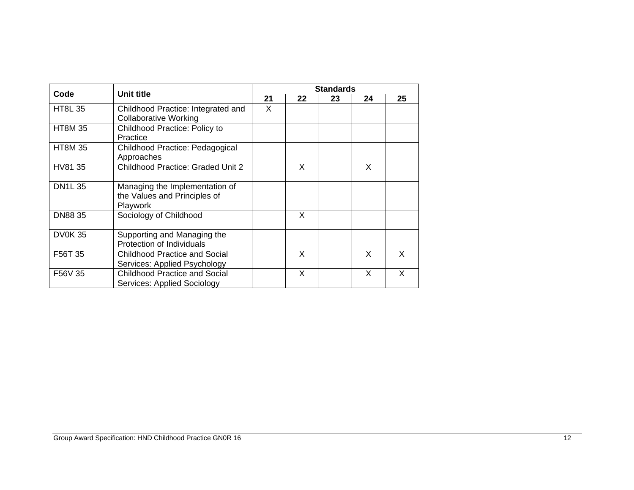| Unit title<br>Code |                                                                            | <b>Standards</b> |    |    |    |    |
|--------------------|----------------------------------------------------------------------------|------------------|----|----|----|----|
|                    |                                                                            | 21               | 22 | 23 | 24 | 25 |
| <b>HT8L 35</b>     | Childhood Practice: Integrated and<br><b>Collaborative Working</b>         | X                |    |    |    |    |
| <b>HT8M 35</b>     | Childhood Practice: Policy to<br>Practice                                  |                  |    |    |    |    |
| <b>HT8M 35</b>     | Childhood Practice: Pedagogical<br>Approaches                              |                  |    |    |    |    |
| HV81 35            | <b>Childhood Practice: Graded Unit 2</b>                                   |                  | X  |    | X  |    |
| <b>DN1L35</b>      | Managing the Implementation of<br>the Values and Principles of<br>Playwork |                  |    |    |    |    |
| <b>DN8835</b>      | Sociology of Childhood                                                     |                  | X  |    |    |    |
| <b>DV0K35</b>      | Supporting and Managing the<br>Protection of Individuals                   |                  |    |    |    |    |
| F56T 35            | <b>Childhood Practice and Social</b><br>Services: Applied Psychology       |                  | X  |    | X  | X  |
| F56V 35            | <b>Childhood Practice and Social</b><br>Services: Applied Sociology        |                  | X  |    | X  | X  |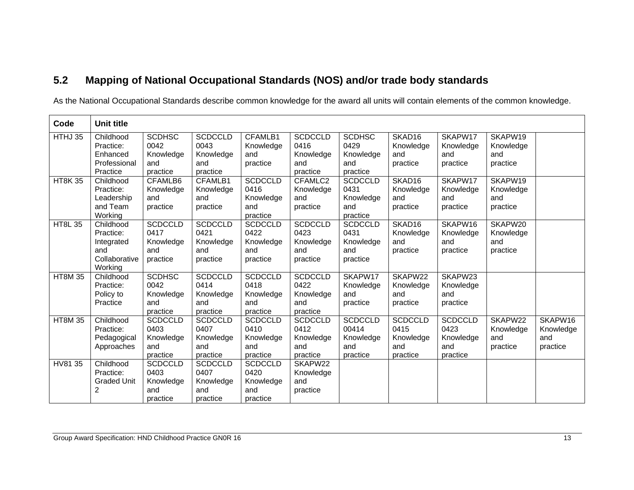### **5.2 Mapping of National Occupational Standards (NOS) and/or trade body standards**

As the National Occupational Standards describe common knowledge for the award all units will contain elements of the common knowledge.

| Code           | <b>Unit title</b>  |                |                |                |                |                |                    |                |           |           |
|----------------|--------------------|----------------|----------------|----------------|----------------|----------------|--------------------|----------------|-----------|-----------|
| HTHJ 35        | Childhood          | <b>SCDHSC</b>  | <b>SCDCCLD</b> | CFAMLB1        | <b>SCDCCLD</b> | <b>SCDHSC</b>  | SKAD <sub>16</sub> | SKAPW17        | SKAPW19   |           |
|                | Practice:          | 0042           | 0043           | Knowledge      | 0416           | 0429           | Knowledge          | Knowledge      | Knowledge |           |
|                | Enhanced           | Knowledge      | Knowledge      | and            | Knowledge      | Knowledge      | and                | and            | and       |           |
|                | Professional       | and            | and            | practice       | and            | and            | practice           | practice       | practice  |           |
|                | Practice           | practice       | practice       |                | practice       | practice       |                    |                |           |           |
| <b>HT8K35</b>  | Childhood          | CFAMLB6        | CFAMLB1        | <b>SCDCCLD</b> | CFAMLC2        | <b>SCDCCLD</b> | SKAD <sub>16</sub> | SKAPW17        | SKAPW19   |           |
|                | Practice:          | Knowledge      | Knowledge      | 0416           | Knowledge      | 0431           | Knowledge          | Knowledge      | Knowledge |           |
|                | Leadership         | and            | and            | Knowledge      | and            | Knowledge      | and                | and            | and       |           |
|                | and Team           | practice       | practice       | and            | practice       | and            | practice           | practice       | practice  |           |
|                | Working            |                |                | practice       |                | practice       |                    |                |           |           |
| <b>HT8L 35</b> | Childhood          | <b>SCDCCLD</b> | <b>SCDCCLD</b> | <b>SCDCCLD</b> | <b>SCDCCLD</b> | <b>SCDCCLD</b> | SKAD16             | SKAPW16        | SKAPW20   |           |
|                | Practice:          | 0417           | 0421           | 0422           | 0423           | 0431           | Knowledge          | Knowledge      | Knowledge |           |
|                | Integrated         | Knowledge      | Knowledge      | Knowledge      | Knowledge      | Knowledge      | and                | and            | and       |           |
|                | and                | and            | and            | and            | and            | and            | practice           | practice       | practice  |           |
|                | Collaborative      | practice       | practice       | practice       | practice       | practice       |                    |                |           |           |
|                | Working            |                |                |                |                |                |                    |                |           |           |
| <b>HT8M 35</b> | Childhood          | <b>SCDHSC</b>  | <b>SCDCCLD</b> | <b>SCDCCLD</b> | <b>SCDCCLD</b> | SKAPW17        | SKAPW22            | SKAPW23        |           |           |
|                | Practice:          | 0042           | 0414           | 0418           | 0422           | Knowledge      | Knowledge          | Knowledge      |           |           |
|                | Policy to          | Knowledge      | Knowledge      | Knowledge      | Knowledge      | and            | and                | and            |           |           |
|                | Practice           | and            | and            | and            | and            | practice       | practice           | practice       |           |           |
|                |                    | practice       | practice       | practice       | practice       |                |                    |                |           |           |
| <b>HT8M 35</b> | Childhood          | <b>SCDCCLD</b> | <b>SCDCCLD</b> | <b>SCDCCLD</b> | <b>SCDCCLD</b> | <b>SCDCCLD</b> | <b>SCDCCLD</b>     | <b>SCDCCLD</b> | SKAPW22   | SKAPW16   |
|                | Practice:          | 0403           | 0407           | 0410           | 0412           | 00414          | 0415               | 0423           | Knowledge | Knowledge |
|                | Pedagogical        | Knowledge      | Knowledge      | Knowledge      | Knowledge      | Knowledge      | Knowledge          | Knowledge      | and       | and       |
|                | Approaches         | and            | and            | and            | and            | and            | and                | and            | practice  | practice  |
|                |                    | practice       | practice       | practice       | practice       | practice       | practice           | practice       |           |           |
| HV81 35        | Childhood          | <b>SCDCCLD</b> | <b>SCDCCLD</b> | <b>SCDCCLD</b> | SKAPW22        |                |                    |                |           |           |
|                | Practice:          | 0403           | 0407           | 0420           | Knowledge      |                |                    |                |           |           |
|                | <b>Graded Unit</b> | Knowledge      | Knowledge      | Knowledge      | and            |                |                    |                |           |           |
|                | $\overline{2}$     | and            | and            | and            | practice       |                |                    |                |           |           |
|                |                    | practice       | practice       | practice       |                |                |                    |                |           |           |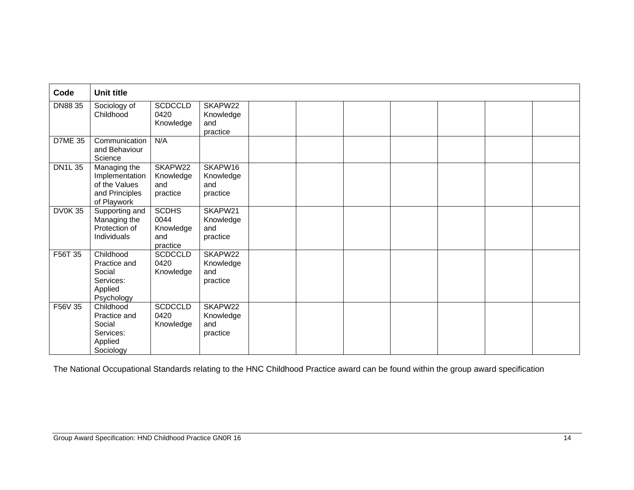| Code           | Unit title                                                                       |                                                      |                                                     |  |  |  |  |
|----------------|----------------------------------------------------------------------------------|------------------------------------------------------|-----------------------------------------------------|--|--|--|--|
| DN88 35        | Sociology of<br>Childhood                                                        | <b>SCDCCLD</b><br>0420<br>Knowledge                  | SKAPW22<br>Knowledge<br>and<br>practice             |  |  |  |  |
| <b>D7ME 35</b> | Communication<br>and Behaviour<br>Science                                        | N/A                                                  |                                                     |  |  |  |  |
| <b>DN1L35</b>  | Managing the<br>Implementation<br>of the Values<br>and Principles<br>of Playwork | SKAPW22<br>Knowledge<br>and<br>practice              | SKAPW16<br>Knowledge<br>and<br>practice             |  |  |  |  |
| <b>DV0K35</b>  | Supporting and<br>Managing the<br>Protection of<br>Individuals                   | <b>SCDHS</b><br>0044<br>Knowledge<br>and<br>practice | SKAPW21<br>Knowledge<br>and<br>practice             |  |  |  |  |
| F56T 35        | Childhood<br>Practice and<br>Social<br>Services:<br>Applied<br>Psychology        | <b>SCDCCLD</b><br>0420<br>Knowledge                  | SKAPW <sub>22</sub><br>Knowledge<br>and<br>practice |  |  |  |  |
| F56V 35        | Childhood<br>Practice and<br>Social<br>Services:<br>Applied<br>Sociology         | <b>SCDCCLD</b><br>0420<br>Knowledge                  | SKAPW22<br>Knowledge<br>and<br>practice             |  |  |  |  |

The National Occupational Standards relating to the HNC Childhood Practice award can be found within the group award specification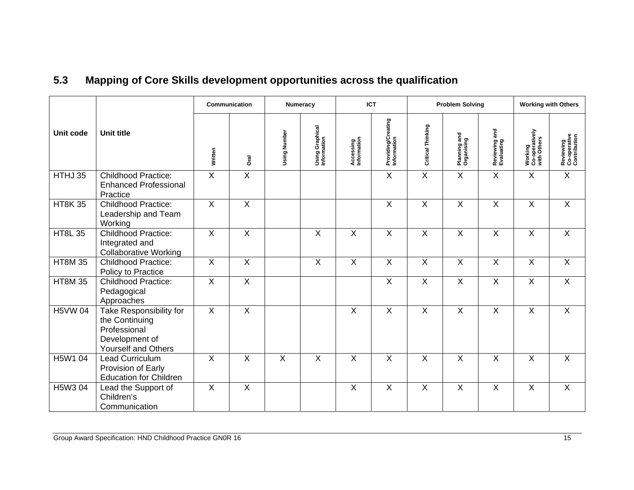| 5.3 |  | Mapping of Core Skills development opportunities across the qualification |  |
|-----|--|---------------------------------------------------------------------------|--|
|-----|--|---------------------------------------------------------------------------|--|

|                |                                                                                                    | Communication           |                         | Numeracy     |                                       |                          | <b>ICT</b>                        |                   | <b>Problem Solving</b>     |                             | <b>Working with Others</b>               |                                           |
|----------------|----------------------------------------------------------------------------------------------------|-------------------------|-------------------------|--------------|---------------------------------------|--------------------------|-----------------------------------|-------------------|----------------------------|-----------------------------|------------------------------------------|-------------------------------------------|
| Unit code      | <b>Unit title</b>                                                                                  | Written                 | Dral                    | Using Number | <b>Using Graphical</b><br>Information | Accessing<br>Information | Providing/Creating<br>Information | Critical Thinking | Planning and<br>Organising | Reviewing and<br>Evaluating | Working<br>Co-operatively<br>with Others | Reviewing<br>Co-operative<br>Contribution |
| HTHJ 35        | <b>Childhood Practice:</b><br><b>Enhanced Professional</b><br>Practice                             | $\overline{X}$          | $\overline{X}$          |              |                                       |                          | $\overline{X}$                    | $\overline{X}$    | $\overline{X}$             | $\overline{X}$              | $\overline{X}$                           | $\overline{X}$                            |
| <b>HT8K35</b>  | <b>Childhood Practice:</b><br>Leadership and Team<br>Working                                       | $\overline{X}$          | $\overline{X}$          |              |                                       |                          | $\overline{X}$                    | $\overline{X}$    | X                          | X                           | X                                        | $\mathsf{X}$                              |
| <b>HT8L 35</b> | Childhood Practice:<br>Integrated and<br><b>Collaborative Working</b>                              | $\overline{X}$          | $\overline{\mathsf{x}}$ |              | $\overline{X}$                        | $\overline{X}$           | $\overline{\mathsf{x}}$           | $\overline{X}$    | $\overline{\mathsf{x}}$    | $\overline{\mathsf{X}}$     | $\overline{X}$                           | $\overline{X}$                            |
| <b>HT8M 35</b> | <b>Childhood Practice:</b><br>Policy to Practice                                                   | $\overline{X}$          | $\overline{X}$          |              | $\times$                              | $\overline{X}$           | $\overline{X}$                    | $\overline{X}$    | X                          | $\overline{X}$              | X                                        | $\overline{X}$                            |
| <b>HT8M 35</b> | <b>Childhood Practice:</b><br>Pedagogical<br>Approaches                                            | $\overline{\mathsf{x}}$ | $\overline{\mathsf{x}}$ |              |                                       |                          | X                                 | X                 | X                          | X                           | X                                        | X                                         |
| <b>H5VW 04</b> | Take Responsibility for<br>the Continuing<br>Professional<br>Development of<br>Yourself and Others | $\overline{X}$          | $\overline{X}$          |              |                                       | $\sf X$                  | $\overline{X}$                    | $\overline{X}$    | X                          | X                           | X                                        | $\mathsf X$                               |
| H5W1 04        | Lead Curriculum<br>Provision of Early<br><b>Education for Children</b>                             | X                       | $\mathsf{X}$            | $\mathsf{X}$ | $\times$                              | $\boldsymbol{X}$         | $\mathsf{X}$                      | X                 | X                          | X                           | X                                        | $\mathsf{X}$                              |
| H5W3 04        | Lead the Support of<br>Children's<br>Communication                                                 | X                       | $\overline{X}$          |              |                                       | X                        | $\overline{\mathsf{x}}$           | X                 | X                          | Χ                           | X                                        | X                                         |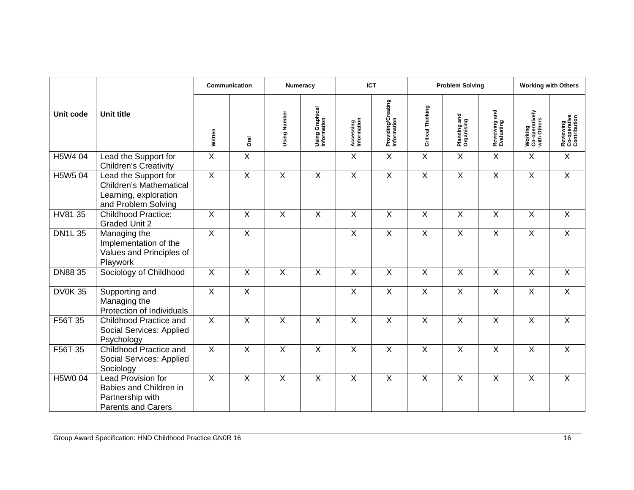|                  |                                                                                                        | Communication           |                         | Numeracy       |                                |                          | <b>ICT</b>                        | <b>Problem Solving</b>  |                            |                             |                                          | <b>Working with Others</b>                |
|------------------|--------------------------------------------------------------------------------------------------------|-------------------------|-------------------------|----------------|--------------------------------|--------------------------|-----------------------------------|-------------------------|----------------------------|-----------------------------|------------------------------------------|-------------------------------------------|
| <b>Unit code</b> | <b>Unit title</b>                                                                                      | Written                 | <b>Oral</b>             | Using Number   | Using Graphical<br>Information | Accessing<br>Information | Providing/Creating<br>Information | Critical Thinking       | Planning and<br>Organising | Reviewing and<br>Evaluating | Working<br>Co-operatively<br>with Others | Reviewing<br>Co-operative<br>Contribution |
| H5W4 04          | Lead the Support for<br><b>Children's Creativity</b>                                                   | $\overline{X}$          | $\overline{\mathsf{x}}$ |                |                                | X                        | $\overline{X}$                    | $\overline{X}$          | $\mathsf{X}$               | $\mathsf{X}$                | X                                        | $\overline{X}$                            |
| H5W5 04          | Lead the Support for<br><b>Children's Mathematical</b><br>Learning, exploration<br>and Problem Solving | $\overline{X}$          | $\overline{X}$          | $\overline{X}$ | $\overline{X}$                 | $\overline{X}$           | $\overline{X}$                    | $\overline{X}$          | $\overline{X}$             | $\overline{X}$              | $\overline{X}$                           | $\overline{X}$                            |
| HV81 35          | <b>Childhood Practice:</b><br><b>Graded Unit 2</b>                                                     | $\overline{\mathsf{x}}$ | $\overline{X}$          | $\overline{X}$ | $\overline{X}$                 | $\overline{X}$           | $\overline{X}$                    | $\overline{X}$          | $\overline{X}$             | $\overline{X}$              | $\overline{X}$                           | $\overline{X}$                            |
| <b>DN1L35</b>    | Managing the<br>Implementation of the<br>Values and Principles of<br>Playwork                          | $\overline{X}$          | $\overline{\mathsf{x}}$ |                |                                | $\overline{X}$           | $\overline{X}$                    | $\overline{X}$          | $\overline{X}$             | $\overline{X}$              | $\overline{X}$                           | $\overline{X}$                            |
| DN88 35          | Sociology of Childhood                                                                                 | $\sf X$                 | $\sf X$                 | $\sf X$        | X                              | $\boldsymbol{X}$         | $\sf X$                           | $\times$                | $\mathsf{X}$               | X                           | $\sf X$                                  | $\mathsf{X}$                              |
| <b>DV0K35</b>    | Supporting and<br>Managing the<br>Protection of Individuals                                            | $\overline{X}$          | $\overline{X}$          |                |                                | $\overline{\mathsf{X}}$  | $\overline{\mathsf{x}}$           | $\overline{X}$          | $\overline{\mathsf{x}}$    | $\overline{X}$              | $\overline{X}$                           | $\overline{X}$                            |
| F56T 35          | Childhood Practice and<br>Social Services: Applied<br>Psychology                                       | $\sf X$                 | $\times$                | $\mathsf{X}$   | $\boldsymbol{\mathsf{X}}$      | $\mathsf{X}$             | $\boldsymbol{\mathsf{X}}$         | $\times$                | X                          | X                           | X                                        | X                                         |
| F56T 35          | Childhood Practice and<br>Social Services: Applied<br>Sociology                                        | $\overline{X}$          | $\overline{X}$          | $\overline{X}$ | $\overline{X}$                 | $\overline{X}$           | $\overline{X}$                    | $\overline{\mathsf{x}}$ | $\overline{X}$             | $\overline{X}$              | $\overline{X}$                           | $\overline{X}$                            |
| H5W0 04          | Lead Provision for<br>Babies and Children in<br>Partnership with<br><b>Parents and Carers</b>          | $\overline{X}$          | $\overline{\mathsf{x}}$ | $\overline{X}$ | $\overline{X}$                 | $\pmb{\times}$           | $\boldsymbol{\mathsf{X}}$         | $\overline{X}$          | $\pmb{\times}$             | $\mathsf{X}$                | $\mathsf{X}$                             | $\overline{X}$                            |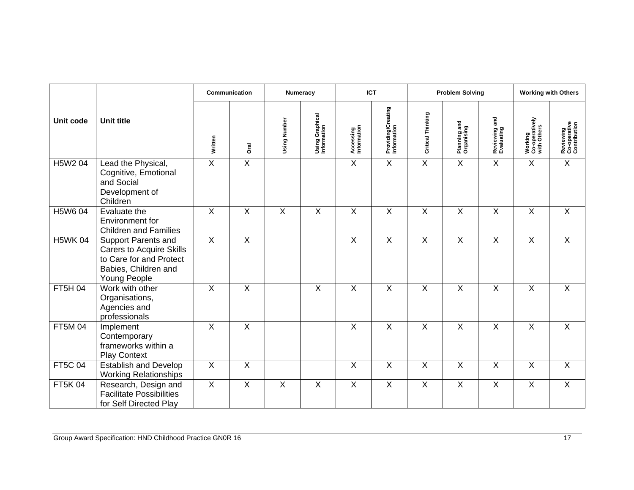|                |                                                                                                                                  | Communication  |                         |                | Numeracy                       |                          | <b>ICT</b>                        |                         | <b>Problem Solving</b>     |                             | <b>Working with Others</b>               |                                           |
|----------------|----------------------------------------------------------------------------------------------------------------------------------|----------------|-------------------------|----------------|--------------------------------|--------------------------|-----------------------------------|-------------------------|----------------------------|-----------------------------|------------------------------------------|-------------------------------------------|
| Unit code      | <b>Unit title</b>                                                                                                                | Written        | <b>Oral</b>             | Using Number   | Using Graphical<br>Information | Accessing<br>Information | Providing/Creating<br>Information | Critical Thinking       | Planning and<br>Organising | Reviewing and<br>Evaluating | Working<br>Co-operatively<br>with Others | Reviewing<br>Co-operative<br>Contribution |
| H5W2 04        | Lead the Physical,<br>Cognitive, Emotional<br>and Social<br>Development of<br>Children                                           | $\overline{X}$ | $\overline{\mathsf{x}}$ |                |                                | $\mathsf{X}$             | $\overline{X}$                    | $\overline{X}$          | X                          | X                           | $\mathsf{X}$                             | $\overline{X}$                            |
| H5W6 04        | Evaluate the<br>Environment for<br><b>Children and Families</b>                                                                  | $\sf X$        | X                       | X              | X                              | $\sf X$                  | $\sf X$                           | X                       | $\mathsf{X}$               | X                           | X                                        | X                                         |
| <b>H5WK04</b>  | <b>Support Parents and</b><br><b>Carers to Acquire Skills</b><br>to Care for and Protect<br>Babies, Children and<br>Young People | $\overline{X}$ | $\overline{X}$          |                |                                | $\overline{X}$           | $\overline{\mathsf{x}}$           | $\overline{\mathsf{x}}$ | $\overline{X}$             | $\overline{X}$              | $\overline{X}$                           | $\overline{X}$                            |
| <b>FT5H 04</b> | Work with other<br>Organisations,<br>Agencies and<br>professionals                                                               | $\overline{X}$ | $\overline{\mathsf{x}}$ |                | $\overline{X}$                 | $\overline{X}$           | $\overline{X}$                    | $\overline{X}$          | $\overline{X}$             | $\overline{X}$              | $\overline{X}$                           | $\overline{X}$                            |
| <b>FT5M04</b>  | Implement<br>Contemporary<br>frameworks within a<br><b>Play Context</b>                                                          | $\overline{X}$ | $\overline{\mathsf{x}}$ |                |                                | $\overline{\mathsf{x}}$  | $\overline{X}$                    | $\overline{X}$          | $\overline{X}$             | $\overline{\mathsf{x}}$     | X                                        | $\overline{X}$                            |
| <b>FT5C 04</b> | <b>Establish and Develop</b><br><b>Working Relationships</b>                                                                     | $\sf X$        | $\overline{\mathsf{x}}$ |                |                                | $\sf X$                  | $\sf X$                           | $\sf X$                 | $\mathsf{X}$               | $\sf X$                     | $\sf X$                                  | $\sf X$                                   |
| <b>FT5K04</b>  | Research, Design and<br><b>Facilitate Possibilities</b><br>for Self Directed Play                                                | $\overline{X}$ | $\overline{\mathsf{x}}$ | $\overline{X}$ | $\overline{\mathsf{X}}$        | $\overline{X}$           | $\overline{X}$                    | $\overline{X}$          | $\overline{X}$             | $\overline{X}$              | $\overline{X}$                           | $\overline{X}$                            |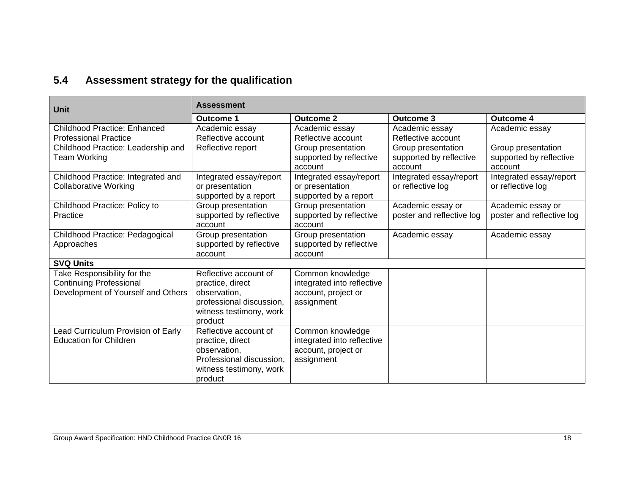### **5.4 Assessment strategy for the qualification**

| <b>Unit</b>                                   | <b>Assessment</b>                             |                                               |                           |                           |  |  |
|-----------------------------------------------|-----------------------------------------------|-----------------------------------------------|---------------------------|---------------------------|--|--|
|                                               | <b>Outcome 1</b>                              | <b>Outcome 2</b>                              | <b>Outcome 3</b>          | <b>Outcome 4</b>          |  |  |
| <b>Childhood Practice: Enhanced</b>           | Academic essay                                | Academic essay                                | Academic essay            | Academic essay            |  |  |
| <b>Professional Practice</b>                  | Reflective account                            | Reflective account                            | Reflective account        |                           |  |  |
| Childhood Practice: Leadership and            | Reflective report                             | Group presentation                            | Group presentation        | Group presentation        |  |  |
| Team Working                                  |                                               | supported by reflective                       | supported by reflective   | supported by reflective   |  |  |
|                                               |                                               | account                                       | account                   | account                   |  |  |
| Childhood Practice: Integrated and            | Integrated essay/report                       | Integrated essay/report                       | Integrated essay/report   | Integrated essay/report   |  |  |
| <b>Collaborative Working</b>                  | or presentation                               | or presentation                               | or reflective log         | or reflective log         |  |  |
|                                               | supported by a report                         | supported by a report                         |                           |                           |  |  |
| Childhood Practice: Policy to                 | Group presentation                            | Group presentation                            | Academic essay or         | Academic essay or         |  |  |
| Practice                                      | supported by reflective<br>account            | supported by reflective<br>account            | poster and reflective log | poster and reflective log |  |  |
|                                               |                                               |                                               |                           |                           |  |  |
| Childhood Practice: Pedagogical<br>Approaches | Group presentation<br>supported by reflective | Group presentation<br>supported by reflective | Academic essay            | Academic essay            |  |  |
|                                               | account                                       | account                                       |                           |                           |  |  |
| <b>SVQ Units</b>                              |                                               |                                               |                           |                           |  |  |
| Take Responsibility for the                   | Reflective account of                         | Common knowledge                              |                           |                           |  |  |
| <b>Continuing Professional</b>                | practice, direct                              | integrated into reflective                    |                           |                           |  |  |
| Development of Yourself and Others            | observation,                                  | account, project or                           |                           |                           |  |  |
|                                               | professional discussion,                      | assignment                                    |                           |                           |  |  |
|                                               | witness testimony, work                       |                                               |                           |                           |  |  |
|                                               | product                                       |                                               |                           |                           |  |  |
| Lead Curriculum Provision of Early            | Reflective account of                         | Common knowledge                              |                           |                           |  |  |
| <b>Education for Children</b>                 | practice, direct                              | integrated into reflective                    |                           |                           |  |  |
|                                               | observation,                                  | account, project or                           |                           |                           |  |  |
|                                               | Professional discussion,                      | assignment                                    |                           |                           |  |  |
|                                               | witness testimony, work                       |                                               |                           |                           |  |  |
|                                               | product                                       |                                               |                           |                           |  |  |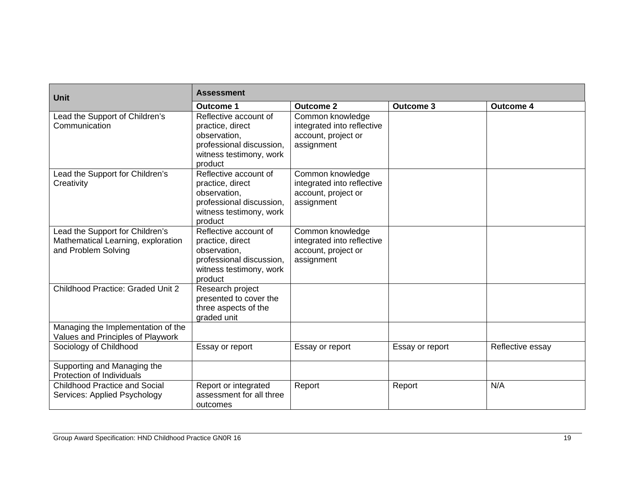| Unit                                                                                         | Assessment                                                                                                                  |                                                                                     |                  |                  |  |  |
|----------------------------------------------------------------------------------------------|-----------------------------------------------------------------------------------------------------------------------------|-------------------------------------------------------------------------------------|------------------|------------------|--|--|
|                                                                                              | <b>Outcome 1</b>                                                                                                            | <b>Outcome 2</b>                                                                    | <b>Outcome 3</b> | <b>Outcome 4</b> |  |  |
| Lead the Support of Children's<br>Communication                                              | Reflective account of<br>practice, direct<br>observation,<br>professional discussion,<br>witness testimony, work<br>product | Common knowledge<br>integrated into reflective<br>account, project or<br>assignment |                  |                  |  |  |
| Lead the Support for Children's<br>Creativity                                                | Reflective account of<br>practice, direct<br>observation,<br>professional discussion,<br>witness testimony, work<br>product | Common knowledge<br>integrated into reflective<br>account, project or<br>assignment |                  |                  |  |  |
| Lead the Support for Children's<br>Mathematical Learning, exploration<br>and Problem Solving | Reflective account of<br>practice, direct<br>observation,<br>professional discussion,<br>witness testimony, work<br>product | Common knowledge<br>integrated into reflective<br>account, project or<br>assignment |                  |                  |  |  |
| Childhood Practice: Graded Unit 2                                                            | Research project<br>presented to cover the<br>three aspects of the<br>graded unit                                           |                                                                                     |                  |                  |  |  |
| Managing the Implementation of the<br>Values and Principles of Playwork                      |                                                                                                                             |                                                                                     |                  |                  |  |  |
| Sociology of Childhood                                                                       | Essay or report                                                                                                             | Essay or report                                                                     | Essay or report  | Reflective essay |  |  |
| Supporting and Managing the<br>Protection of Individuals                                     |                                                                                                                             |                                                                                     |                  |                  |  |  |
| <b>Childhood Practice and Social</b><br>Services: Applied Psychology                         | Report or integrated<br>assessment for all three<br>outcomes                                                                | Report                                                                              | Report           | N/A              |  |  |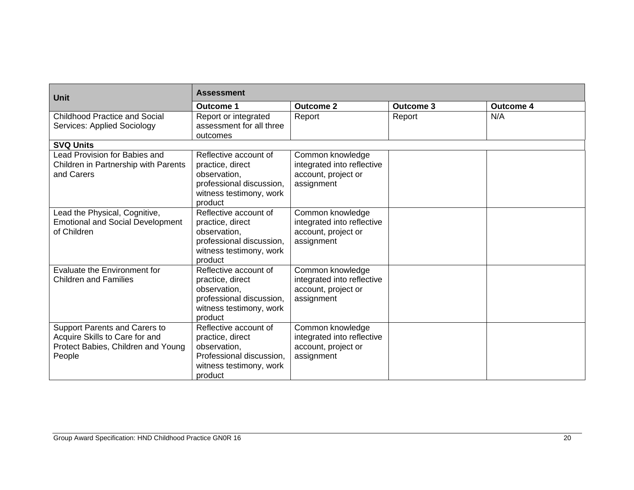| <b>Unit</b>                                                                                                     | <b>Assessment</b>                                                                                                           |                                                                                     |                  |                  |  |  |
|-----------------------------------------------------------------------------------------------------------------|-----------------------------------------------------------------------------------------------------------------------------|-------------------------------------------------------------------------------------|------------------|------------------|--|--|
|                                                                                                                 | <b>Outcome 1</b>                                                                                                            | Outcome 2                                                                           | <b>Outcome 3</b> | <b>Outcome 4</b> |  |  |
| <b>Childhood Practice and Social</b><br><b>Services: Applied Sociology</b>                                      | Report or integrated<br>assessment for all three<br>outcomes                                                                | Report                                                                              | Report           | N/A              |  |  |
| <b>SVQ Units</b>                                                                                                |                                                                                                                             |                                                                                     |                  |                  |  |  |
| Lead Provision for Babies and<br>Children in Partnership with Parents<br>and Carers                             | Reflective account of<br>practice, direct<br>observation,<br>professional discussion,<br>witness testimony, work<br>product | Common knowledge<br>integrated into reflective<br>account, project or<br>assignment |                  |                  |  |  |
| Lead the Physical, Cognitive,<br><b>Emotional and Social Development</b><br>of Children                         | Reflective account of<br>practice, direct<br>observation,<br>professional discussion,<br>witness testimony, work<br>product | Common knowledge<br>integrated into reflective<br>account, project or<br>assignment |                  |                  |  |  |
| Evaluate the Environment for<br><b>Children and Families</b>                                                    | Reflective account of<br>practice, direct<br>observation,<br>professional discussion,<br>witness testimony, work<br>product | Common knowledge<br>integrated into reflective<br>account, project or<br>assignment |                  |                  |  |  |
| Support Parents and Carers to<br>Acquire Skills to Care for and<br>Protect Babies, Children and Young<br>People | Reflective account of<br>practice, direct<br>observation,<br>Professional discussion,<br>witness testimony, work<br>product | Common knowledge<br>integrated into reflective<br>account, project or<br>assignment |                  |                  |  |  |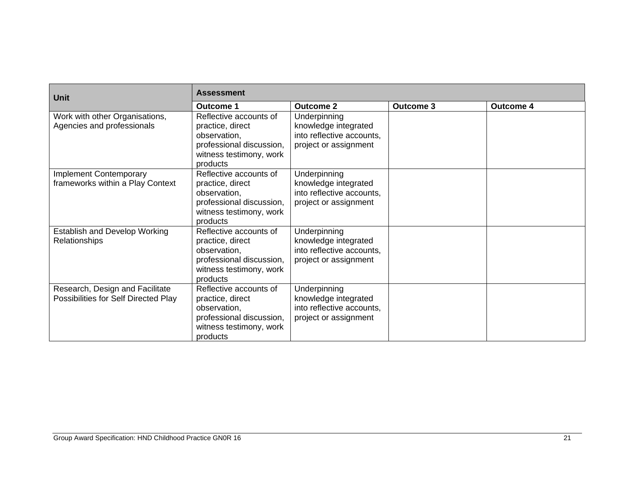| <b>Unit</b>                                                             | <b>Assessment</b>                                                                                                             |                                                                                            |                  |                  |  |  |
|-------------------------------------------------------------------------|-------------------------------------------------------------------------------------------------------------------------------|--------------------------------------------------------------------------------------------|------------------|------------------|--|--|
|                                                                         | <b>Outcome 1</b>                                                                                                              | <b>Outcome 2</b>                                                                           | <b>Outcome 3</b> | <b>Outcome 4</b> |  |  |
| Work with other Organisations,<br>Agencies and professionals            | Reflective accounts of<br>practice, direct<br>observation,<br>professional discussion,<br>witness testimony, work<br>products | Underpinning<br>knowledge integrated<br>into reflective accounts,<br>project or assignment |                  |                  |  |  |
| <b>Implement Contemporary</b><br>frameworks within a Play Context       | Reflective accounts of<br>practice, direct<br>observation,<br>professional discussion,<br>witness testimony, work<br>products | Underpinning<br>knowledge integrated<br>into reflective accounts,<br>project or assignment |                  |                  |  |  |
| <b>Establish and Develop Working</b><br>Relationships                   | Reflective accounts of<br>practice, direct<br>observation,<br>professional discussion,<br>witness testimony, work<br>products | Underpinning<br>knowledge integrated<br>into reflective accounts,<br>project or assignment |                  |                  |  |  |
| Research, Design and Facilitate<br>Possibilities for Self Directed Play | Reflective accounts of<br>practice, direct<br>observation,<br>professional discussion,<br>witness testimony, work<br>products | Underpinning<br>knowledge integrated<br>into reflective accounts,<br>project or assignment |                  |                  |  |  |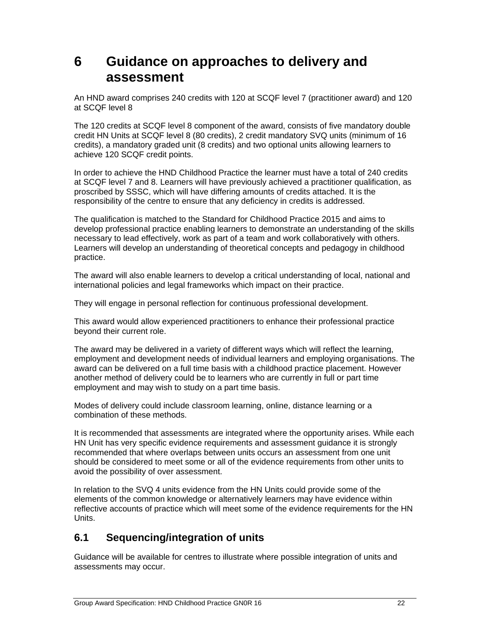## **6 Guidance on approaches to delivery and assessment**

An HND award comprises 240 credits with 120 at SCQF level 7 (practitioner award) and 120 at SCQF level 8

The 120 credits at SCQF level 8 component of the award, consists of five mandatory double credit HN Units at SCQF level 8 (80 credits), 2 credit mandatory SVQ units (minimum of 16 credits), a mandatory graded unit (8 credits) and two optional units allowing learners to achieve 120 SCQF credit points.

In order to achieve the HND Childhood Practice the learner must have a total of 240 credits at SCQF level 7 and 8. Learners will have previously achieved a practitioner qualification, as proscribed by SSSC, which will have differing amounts of credits attached. It is the responsibility of the centre to ensure that any deficiency in credits is addressed.

The qualification is matched to the Standard for Childhood Practice 2015 and aims to develop professional practice enabling learners to demonstrate an understanding of the skills necessary to lead effectively, work as part of a team and work collaboratively with others. Learners will develop an understanding of theoretical concepts and pedagogy in childhood practice.

The award will also enable learners to develop a critical understanding of local, national and international policies and legal frameworks which impact on their practice.

They will engage in personal reflection for continuous professional development.

This award would allow experienced practitioners to enhance their professional practice beyond their current role.

The award may be delivered in a variety of different ways which will reflect the learning, employment and development needs of individual learners and employing organisations. The award can be delivered on a full time basis with a childhood practice placement. However another method of delivery could be to learners who are currently in full or part time employment and may wish to study on a part time basis.

Modes of delivery could include classroom learning, online, distance learning or a combination of these methods.

It is recommended that assessments are integrated where the opportunity arises. While each HN Unit has very specific evidence requirements and assessment guidance it is strongly recommended that where overlaps between units occurs an assessment from one unit should be considered to meet some or all of the evidence requirements from other units to avoid the possibility of over assessment.

In relation to the SVQ 4 units evidence from the HN Units could provide some of the elements of the common knowledge or alternatively learners may have evidence within reflective accounts of practice which will meet some of the evidence requirements for the HN Units.

### **6.1 Sequencing/integration of units**

Guidance will be available for centres to illustrate where possible integration of units and assessments may occur.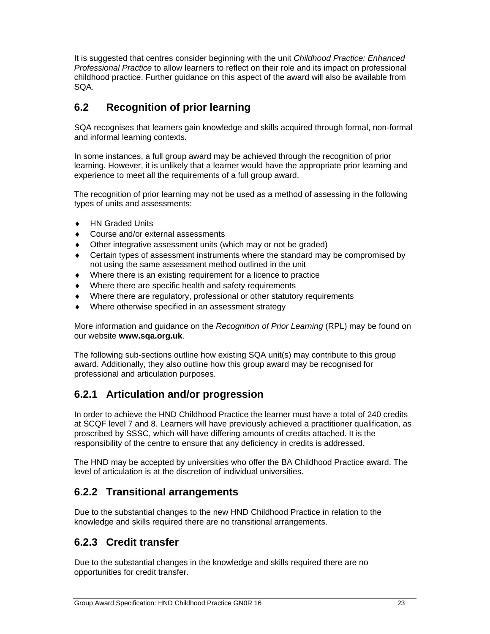It is suggested that centres consider beginning with the unit *Childhood Practice: Enhanced Professional Practice* to allow learners to reflect on their role and its impact on professional childhood practice. Further guidance on this aspect of the award will also be available from SQA.

### **6.2 Recognition of prior learning**

SQA recognises that learners gain knowledge and skills acquired through formal, non-formal and informal learning contexts.

In some instances, a full group award may be achieved through the recognition of prior learning. However, it is unlikely that a learner would have the appropriate prior learning and experience to meet all the requirements of a full group award.

The recognition of prior learning may not be used as a method of assessing in the following types of units and assessments:

- ◆ HN Graded Units
- Course and/or external assessments
- Other integrative assessment units (which may or not be graded)
- Certain types of assessment instruments where the standard may be compromised by not using the same assessment method outlined in the unit
- Where there is an existing requirement for a licence to practice
- Where there are specific health and safety requirements
- Where there are regulatory, professional or other statutory requirements
- Where otherwise specified in an assessment strategy

More information and guidance on the *Recognition of Prior Learning* (RPL) may be found on our website **www.sqa.org.uk**.

The following sub-sections outline how existing SQA unit(s) may contribute to this group award. Additionally, they also outline how this group award may be recognised for professional and articulation purposes.

### **6.2.1 Articulation and/or progression**

In order to achieve the HND Childhood Practice the learner must have a total of 240 credits at SCQF level 7 and 8. Learners will have previously achieved a practitioner qualification, as proscribed by SSSC, which will have differing amounts of credits attached. It is the responsibility of the centre to ensure that any deficiency in credits is addressed.

The HND may be accepted by universities who offer the BA Childhood Practice award. The level of articulation is at the discretion of individual universities.

### **6.2.2 Transitional arrangements**

Due to the substantial changes to the new HND Childhood Practice in relation to the knowledge and skills required there are no transitional arrangements.

#### **6.2.3 Credit transfer**

Due to the substantial changes in the knowledge and skills required there are no opportunities for credit transfer.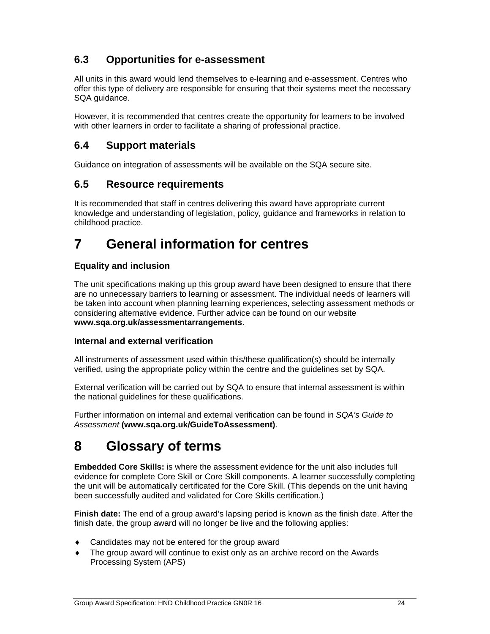### **6.3 Opportunities for e-assessment**

All units in this award would lend themselves to e-learning and e-assessment. Centres who offer this type of delivery are responsible for ensuring that their systems meet the necessary SQA guidance.

However, it is recommended that centres create the opportunity for learners to be involved with other learners in order to facilitate a sharing of professional practice.

### **6.4 Support materials**

Guidance on integration of assessments will be available on the SQA secure site.

#### **6.5 Resource requirements**

It is recommended that staff in centres delivering this award have appropriate current knowledge and understanding of legislation, policy, guidance and frameworks in relation to childhood practice.

## **7 General information for centres**

#### **Equality and inclusion**

The unit specifications making up this group award have been designed to ensure that there are no unnecessary barriers to learning or assessment. The individual needs of learners will be taken into account when planning learning experiences, selecting assessment methods or considering alternative evidence. Further advice can be found on our website **www.sqa.org.uk/assessmentarrangements**.

#### **Internal and external verification**

All instruments of assessment used within this/these qualification(s) should be internally verified, using the appropriate policy within the centre and the guidelines set by SQA.

External verification will be carried out by SQA to ensure that internal assessment is within the national guidelines for these qualifications.

Further information on internal and external verification can be found in *SQA's Guide to Assessment* **(www.sqa.org.uk/GuideToAssessment)**.

## **8 Glossary of terms**

**Embedded Core Skills:** is where the assessment evidence for the unit also includes full evidence for complete Core Skill or Core Skill components. A learner successfully completing the unit will be automatically certificated for the Core Skill. (This depends on the unit having been successfully audited and validated for Core Skills certification.)

**Finish date:** The end of a group award's lapsing period is known as the finish date. After the finish date, the group award will no longer be live and the following applies:

- Candidates may not be entered for the group award
- The group award will continue to exist only as an archive record on the Awards Processing System (APS)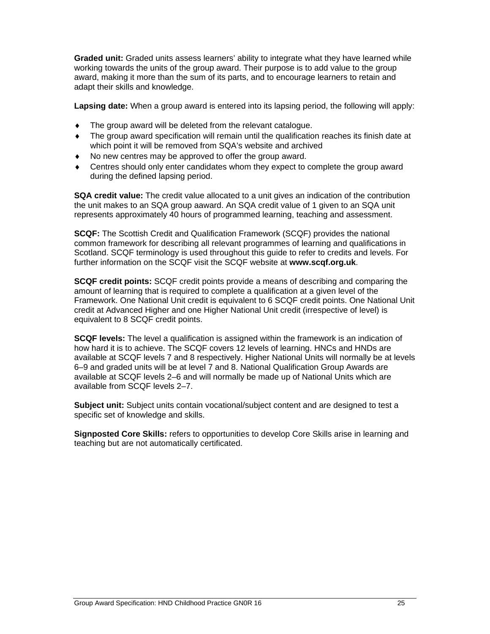**Graded unit:** Graded units assess learners' ability to integrate what they have learned while working towards the units of the group award. Their purpose is to add value to the group award, making it more than the sum of its parts, and to encourage learners to retain and adapt their skills and knowledge.

**Lapsing date:** When a group award is entered into its lapsing period, the following will apply:

- The group award will be deleted from the relevant catalogue.
- The group award specification will remain until the qualification reaches its finish date at which point it will be removed from SQA's website and archived
- No new centres may be approved to offer the group award.
- Centres should only enter candidates whom they expect to complete the group award during the defined lapsing period.

**SQA credit value:** The credit value allocated to a unit gives an indication of the contribution the unit makes to an SQA group aaward. An SQA credit value of 1 given to an SQA unit represents approximately 40 hours of programmed learning, teaching and assessment.

**SCQF:** The Scottish Credit and Qualification Framework (SCQF) provides the national common framework for describing all relevant programmes of learning and qualifications in Scotland. SCQF terminology is used throughout this guide to refer to credits and levels. For further information on the SCQF visit the SCQF website at **www.scqf.org.uk**.

**SCQF credit points:** SCQF credit points provide a means of describing and comparing the amount of learning that is required to complete a qualification at a given level of the Framework. One National Unit credit is equivalent to 6 SCQF credit points. One National Unit credit at Advanced Higher and one Higher National Unit credit (irrespective of level) is equivalent to 8 SCQF credit points.

**SCQF levels:** The level a qualification is assigned within the framework is an indication of how hard it is to achieve. The SCQF covers 12 levels of learning. HNCs and HNDs are available at SCQF levels 7 and 8 respectively. Higher National Units will normally be at levels 6–9 and graded units will be at level 7 and 8. National Qualification Group Awards are available at SCQF levels 2–6 and will normally be made up of National Units which are available from SCQF levels 2–7.

**Subject unit:** Subject units contain vocational/subject content and are designed to test a specific set of knowledge and skills.

**Signposted Core Skills:** refers to opportunities to develop Core Skills arise in learning and teaching but are not automatically certificated.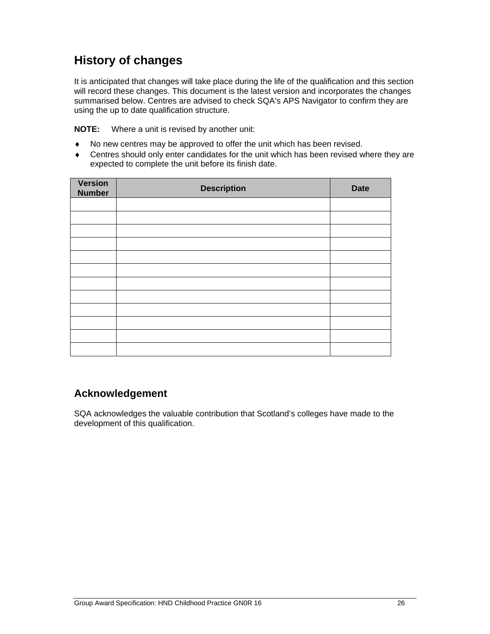### **History of changes**

It is anticipated that changes will take place during the life of the qualification and this section will record these changes. This document is the latest version and incorporates the changes summarised below. Centres are advised to check SQA's APS Navigator to confirm they are using the up to date qualification structure.

**NOTE:** Where a unit is revised by another unit:

- No new centres may be approved to offer the unit which has been revised.
- Centres should only enter candidates for the unit which has been revised where they are expected to complete the unit before its finish date.

| <b>Version</b><br><b>Number</b> | <b>Description</b> | <b>Date</b> |
|---------------------------------|--------------------|-------------|
|                                 |                    |             |
|                                 |                    |             |
|                                 |                    |             |
|                                 |                    |             |
|                                 |                    |             |
|                                 |                    |             |
|                                 |                    |             |
|                                 |                    |             |
|                                 |                    |             |
|                                 |                    |             |
|                                 |                    |             |
|                                 |                    |             |

### **Acknowledgement**

SQA acknowledges the valuable contribution that Scotland's colleges have made to the development of this qualification.